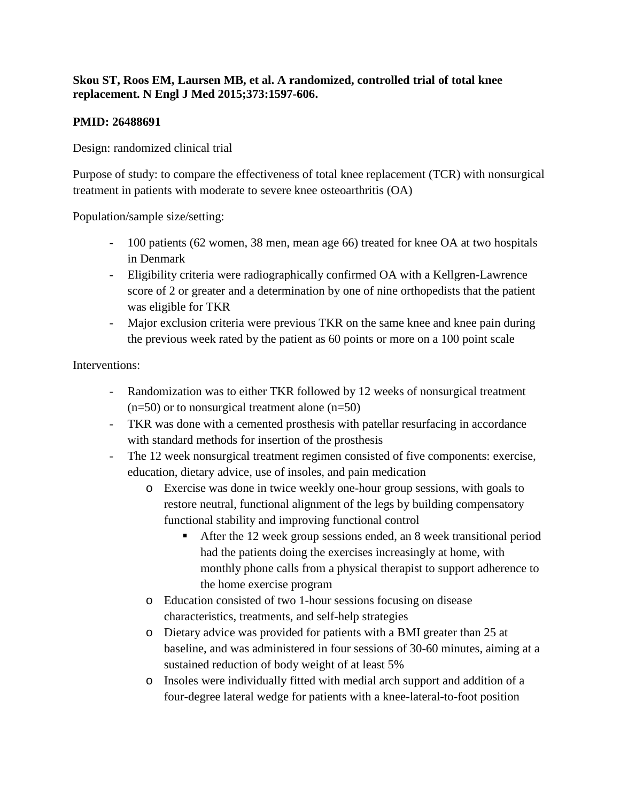## **Skou ST, Roos EM, Laursen MB, et al. A randomized, controlled trial of total knee replacement. N Engl J Med 2015;373:1597-606.**

## **PMID: 26488691**

Design: randomized clinical trial

Purpose of study: to compare the effectiveness of total knee replacement (TCR) with nonsurgical treatment in patients with moderate to severe knee osteoarthritis (OA)

Population/sample size/setting:

- 100 patients (62 women, 38 men, mean age 66) treated for knee OA at two hospitals in Denmark
- Eligibility criteria were radiographically confirmed OA with a Kellgren-Lawrence score of 2 or greater and a determination by one of nine orthopedists that the patient was eligible for TKR
- Major exclusion criteria were previous TKR on the same knee and knee pain during the previous week rated by the patient as 60 points or more on a 100 point scale

Interventions:

- Randomization was to either TKR followed by 12 weeks of nonsurgical treatment  $(n=50)$  or to nonsurgical treatment alone  $(n=50)$
- TKR was done with a cemented prosthesis with patellar resurfacing in accordance with standard methods for insertion of the prosthesis
- The 12 week nonsurgical treatment regimen consisted of five components: exercise, education, dietary advice, use of insoles, and pain medication
	- o Exercise was done in twice weekly one-hour group sessions, with goals to restore neutral, functional alignment of the legs by building compensatory functional stability and improving functional control
		- After the 12 week group sessions ended, an 8 week transitional period had the patients doing the exercises increasingly at home, with monthly phone calls from a physical therapist to support adherence to the home exercise program
	- o Education consisted of two 1-hour sessions focusing on disease characteristics, treatments, and self-help strategies
	- o Dietary advice was provided for patients with a BMI greater than 25 at baseline, and was administered in four sessions of 30-60 minutes, aiming at a sustained reduction of body weight of at least 5%
	- o Insoles were individually fitted with medial arch support and addition of a four-degree lateral wedge for patients with a knee-lateral-to-foot position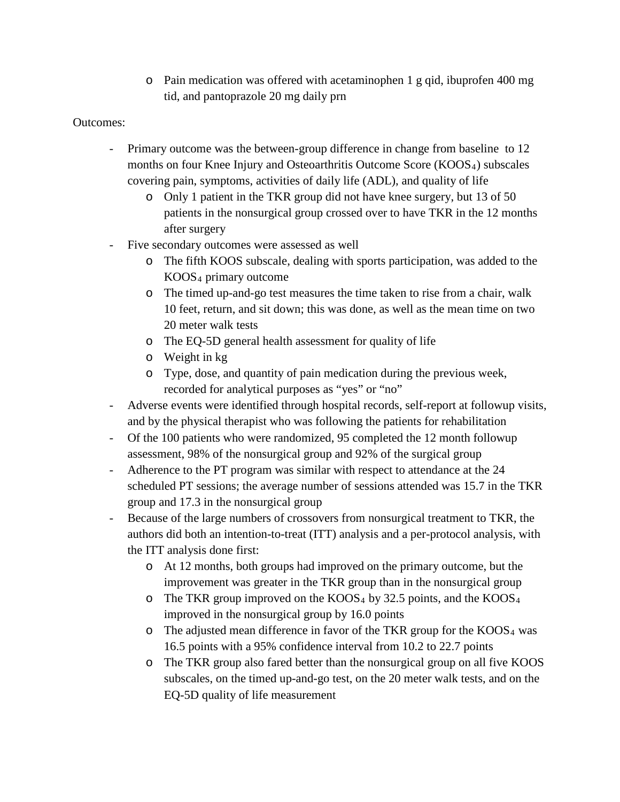o Pain medication was offered with acetaminophen 1 g qid, ibuprofen 400 mg tid, and pantoprazole 20 mg daily prn

## Outcomes:

- Primary outcome was the between-group difference in change from baseline to 12 months on four Knee Injury and Osteoarthritis Outcome Score (KOOS4) subscales covering pain, symptoms, activities of daily life (ADL), and quality of life
	- o Only 1 patient in the TKR group did not have knee surgery, but 13 of 50 patients in the nonsurgical group crossed over to have TKR in the 12 months after surgery
- Five secondary outcomes were assessed as well
	- o The fifth KOOS subscale, dealing with sports participation, was added to the KOOS4 primary outcome
	- o The timed up-and-go test measures the time taken to rise from a chair, walk 10 feet, return, and sit down; this was done, as well as the mean time on two 20 meter walk tests
	- o The EQ-5D general health assessment for quality of life
	- o Weight in kg
	- o Type, dose, and quantity of pain medication during the previous week, recorded for analytical purposes as "yes" or "no"
- Adverse events were identified through hospital records, self-report at followup visits, and by the physical therapist who was following the patients for rehabilitation
- Of the 100 patients who were randomized, 95 completed the 12 month followup assessment, 98% of the nonsurgical group and 92% of the surgical group
- Adherence to the PT program was similar with respect to attendance at the 24 scheduled PT sessions; the average number of sessions attended was 15.7 in the TKR group and 17.3 in the nonsurgical group
- Because of the large numbers of crossovers from nonsurgical treatment to TKR, the authors did both an intention-to-treat (ITT) analysis and a per-protocol analysis, with the ITT analysis done first:
	- o At 12 months, both groups had improved on the primary outcome, but the improvement was greater in the TKR group than in the nonsurgical group
	- $\circ$  The TKR group improved on the KOOS<sub>4</sub> by 32.5 points, and the KOOS<sub>4</sub> improved in the nonsurgical group by 16.0 points
	- $\circ$  The adjusted mean difference in favor of the TKR group for the KOOS<sub>4</sub> was 16.5 points with a 95% confidence interval from 10.2 to 22.7 points
	- o The TKR group also fared better than the nonsurgical group on all five KOOS subscales, on the timed up-and-go test, on the 20 meter walk tests, and on the EQ-5D quality of life measurement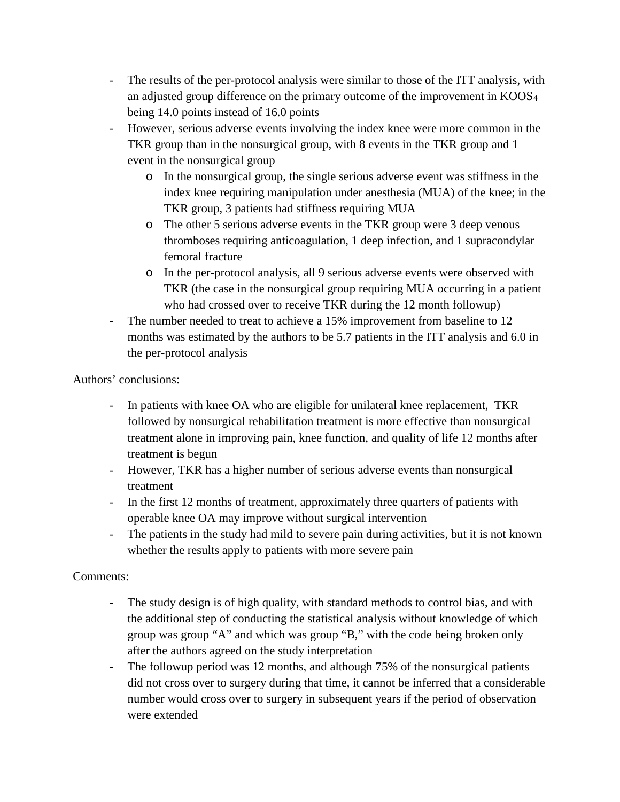- The results of the per-protocol analysis were similar to those of the ITT analysis, with an adjusted group difference on the primary outcome of the improvement in KOOS4 being 14.0 points instead of 16.0 points
- However, serious adverse events involving the index knee were more common in the TKR group than in the nonsurgical group, with 8 events in the TKR group and 1 event in the nonsurgical group
	- o In the nonsurgical group, the single serious adverse event was stiffness in the index knee requiring manipulation under anesthesia (MUA) of the knee; in the TKR group, 3 patients had stiffness requiring MUA
	- o The other 5 serious adverse events in the TKR group were 3 deep venous thromboses requiring anticoagulation, 1 deep infection, and 1 supracondylar femoral fracture
	- o In the per-protocol analysis, all 9 serious adverse events were observed with TKR (the case in the nonsurgical group requiring MUA occurring in a patient who had crossed over to receive TKR during the 12 month followup)
- The number needed to treat to achieve a 15% improvement from baseline to 12 months was estimated by the authors to be 5.7 patients in the ITT analysis and 6.0 in the per-protocol analysis

Authors' conclusions:

- In patients with knee OA who are eligible for unilateral knee replacement, TKR followed by nonsurgical rehabilitation treatment is more effective than nonsurgical treatment alone in improving pain, knee function, and quality of life 12 months after treatment is begun
- However, TKR has a higher number of serious adverse events than nonsurgical treatment
- In the first 12 months of treatment, approximately three quarters of patients with operable knee OA may improve without surgical intervention
- The patients in the study had mild to severe pain during activities, but it is not known whether the results apply to patients with more severe pain

## Comments:

- The study design is of high quality, with standard methods to control bias, and with the additional step of conducting the statistical analysis without knowledge of which group was group "A" and which was group "B," with the code being broken only after the authors agreed on the study interpretation
- The followup period was 12 months, and although 75% of the nonsurgical patients did not cross over to surgery during that time, it cannot be inferred that a considerable number would cross over to surgery in subsequent years if the period of observation were extended